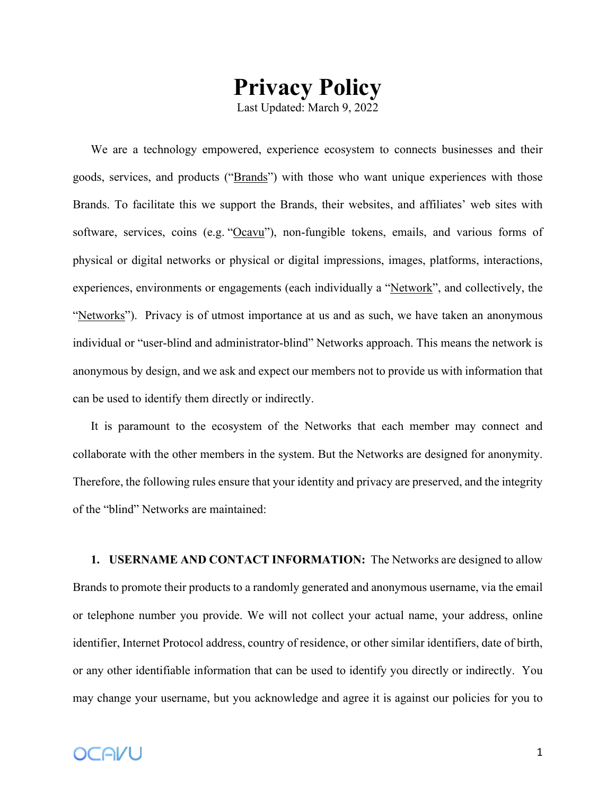## **Privacy Policy**

Last Updated: March 9, 2022

We are a technology empowered, experience ecosystem to connects businesses and their goods, services, and products ("Brands") with those who want unique experiences with those Brands. To facilitate this we support the Brands, their websites, and affiliates' web sites with software, services, coins (e.g. "Ocavu"), non-fungible tokens, emails, and various forms of physical or digital networks or physical or digital impressions, images, platforms, interactions, experiences, environments or engagements (each individually a "Network", and collectively, the "Networks"). Privacy is of utmost importance at us and as such, we have taken an anonymous individual or "user-blind and administrator-blind" Networks approach. This means the network is anonymous by design, and we ask and expect our members not to provide us with information that can be used to identify them directly or indirectly.

It is paramount to the ecosystem of the Networks that each member may connect and collaborate with the other members in the system. But the Networks are designed for anonymity. Therefore, the following rules ensure that your identity and privacy are preserved, and the integrity of the "blind" Networks are maintained:

**1. USERNAME AND CONTACT INFORMATION:** The Networks are designed to allow Brands to promote their products to a randomly generated and anonymous username, via the email or telephone number you provide. We will not collect your actual name, your address, online identifier, Internet Protocol address, country of residence, or other similar identifiers, date of birth, or any other identifiable information that can be used to identify you directly or indirectly. You may change your username, but you acknowledge and agree it is against our policies for you to

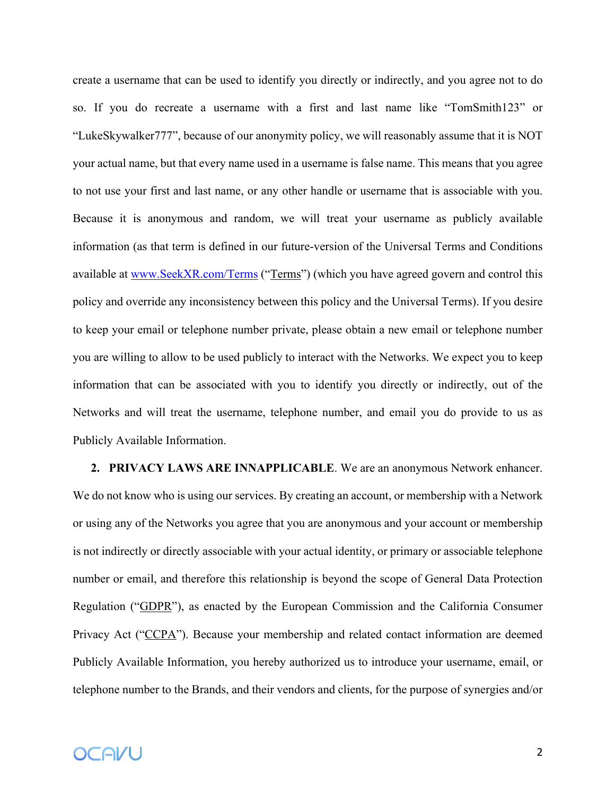create a username that can be used to identify you directly or indirectly, and you agree not to do so. If you do recreate a username with a first and last name like "TomSmith123" or "LukeSkywalker777", because of our anonymity policy, we will reasonably assume that it is NOT your actual name, but that every name used in a username is false name. This means that you agree to not use your first and last name, or any other handle or username that is associable with you. Because it is anonymous and random, we will treat your username as publicly available information (as that term is defined in our future-version of the Universal Terms and Conditions available at www.SeekXR.com/Terms ("Terms") (which you have agreed govern and control this policy and override any inconsistency between this policy and the Universal Terms). If you desire to keep your email or telephone number private, please obtain a new email or telephone number you are willing to allow to be used publicly to interact with the Networks. We expect you to keep information that can be associated with you to identify you directly or indirectly, out of the Networks and will treat the username, telephone number, and email you do provide to us as Publicly Available Information.

**2. PRIVACY LAWS ARE INNAPPLICABLE**. We are an anonymous Network enhancer. We do not know who is using our services. By creating an account, or membership with a Network or using any of the Networks you agree that you are anonymous and your account or membership is not indirectly or directly associable with your actual identity, or primary or associable telephone number or email, and therefore this relationship is beyond the scope of General Data Protection Regulation ("GDPR"), as enacted by the European Commission and the California Consumer Privacy Act ("CCPA"). Because your membership and related contact information are deemed Publicly Available Information, you hereby authorized us to introduce your username, email, or telephone number to the Brands, and their vendors and clients, for the purpose of synergies and/or

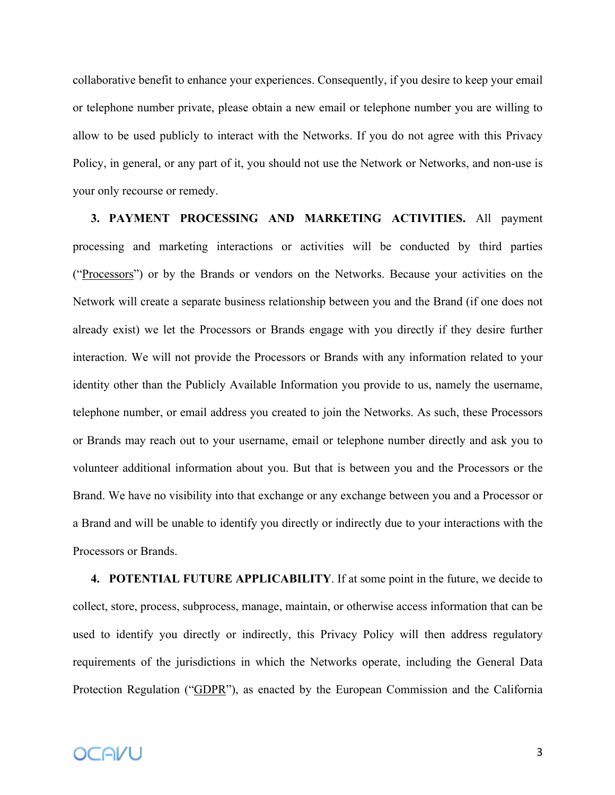collaborative benefit to enhance your experiences. Consequently, if you desire to keep your email or telephone number private, please obtain a new email or telephone number you are willing to allow to be used publicly to interact with the Networks. If you do not agree with this Privacy Policy, in general, or any part of it, you should not use the Network or Networks, and non-use is your only recourse or remedy.

**3. PAYMENT PROCESSING AND MARKETING ACTIVITIES.** All payment processing and marketing interactions or activities will be conducted by third parties ("Processors") or by the Brands or vendors on the Networks. Because your activities on the Network will create a separate business relationship between you and the Brand (if one does not already exist) we let the Processors or Brands engage with you directly if they desire further interaction. We will not provide the Processors or Brands with any information related to your identity other than the Publicly Available Information you provide to us, namely the username, telephone number, or email address you created to join the Networks. As such, these Processors or Brands may reach out to your username, email or telephone number directly and ask you to volunteer additional information about you. But that is between you and the Processors or the Brand. We have no visibility into that exchange or any exchange between you and a Processor or a Brand and will be unable to identify you directly or indirectly due to your interactions with the Processors or Brands.

**4. POTENTIAL FUTURE APPLICABILITY**. If at some point in the future, we decide to collect, store, process, subprocess, manage, maintain, or otherwise access information that can be used to identify you directly or indirectly, this Privacy Policy will then address regulatory requirements of the jurisdictions in which the Networks operate, including the General Data Protection Regulation ("GDPR"), as enacted by the European Commission and the California

## **OCAVU**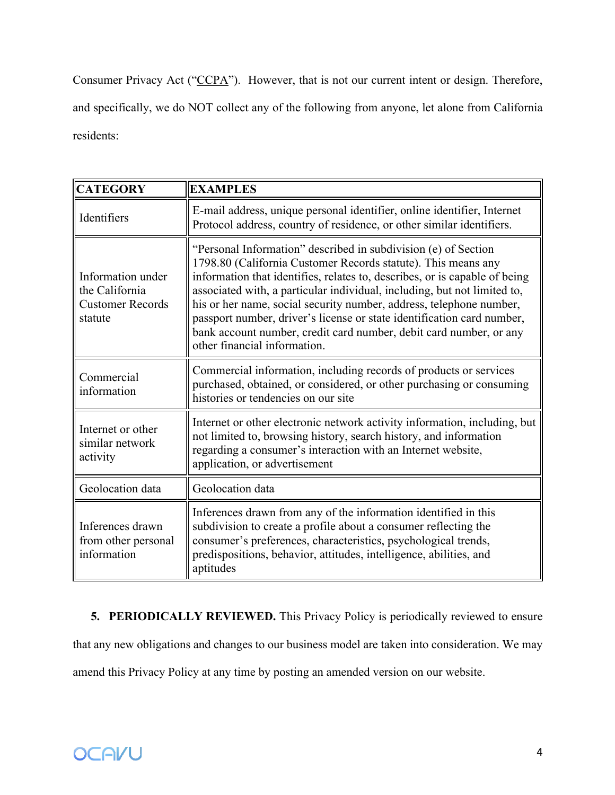Consumer Privacy Act ("CCPA"). However, that is not our current intent or design. Therefore, and specifically, we do NOT collect any of the following from anyone, let alone from California residents:

| <b>CATEGORY</b>                                                           | <b>EXAMPLES</b>                                                                                                                                                                                                                                                                                                                                                                                                                                                                                                                                  |
|---------------------------------------------------------------------------|--------------------------------------------------------------------------------------------------------------------------------------------------------------------------------------------------------------------------------------------------------------------------------------------------------------------------------------------------------------------------------------------------------------------------------------------------------------------------------------------------------------------------------------------------|
| Identifiers                                                               | E-mail address, unique personal identifier, online identifier, Internet<br>Protocol address, country of residence, or other similar identifiers.                                                                                                                                                                                                                                                                                                                                                                                                 |
| Information under<br>the California<br><b>Customer Records</b><br>statute | "Personal Information" described in subdivision (e) of Section<br>1798.80 (California Customer Records statute). This means any<br>information that identifies, relates to, describes, or is capable of being<br>associated with, a particular individual, including, but not limited to,<br>his or her name, social security number, address, telephone number,<br>passport number, driver's license or state identification card number,<br>bank account number, credit card number, debit card number, or any<br>other financial information. |
| Commercial<br>information                                                 | Commercial information, including records of products or services<br>purchased, obtained, or considered, or other purchasing or consuming<br>histories or tendencies on our site                                                                                                                                                                                                                                                                                                                                                                 |
| Internet or other<br>similar network<br>activity                          | Internet or other electronic network activity information, including, but<br>not limited to, browsing history, search history, and information<br>regarding a consumer's interaction with an Internet website,<br>application, or advertisement                                                                                                                                                                                                                                                                                                  |
| Geolocation data                                                          | Geolocation data                                                                                                                                                                                                                                                                                                                                                                                                                                                                                                                                 |
| Inferences drawn<br>from other personal<br>information                    | Inferences drawn from any of the information identified in this<br>subdivision to create a profile about a consumer reflecting the<br>consumer's preferences, characteristics, psychological trends,<br>predispositions, behavior, attitudes, intelligence, abilities, and<br>aptitudes                                                                                                                                                                                                                                                          |

**5. PERIODICALLY REVIEWED.** This Privacy Policy is periodically reviewed to ensure that any new obligations and changes to our business model are taken into consideration. We may amend this Privacy Policy at any time by posting an amended version on our website.